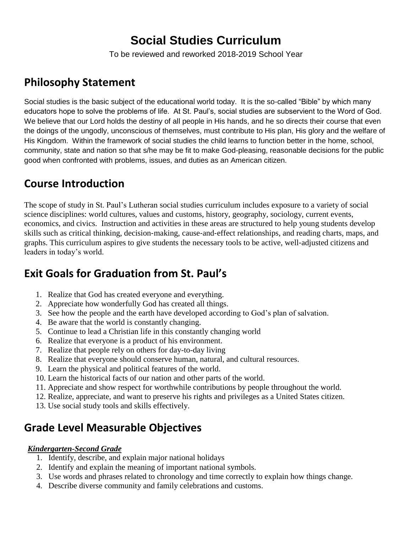# **Social Studies Curriculum**

To be reviewed and reworked 2018-2019 School Year

### **Philosophy Statement**

Social studies is the basic subject of the educational world today. It is the so-called "Bible" by which many educators hope to solve the problems of life. At St. Paul's, social studies are subservient to the Word of God. We believe that our Lord holds the destiny of all people in His hands, and he so directs their course that even the doings of the ungodly, unconscious of themselves, must contribute to His plan, His glory and the welfare of His Kingdom. Within the framework of social studies the child learns to function better in the home, school, community, state and nation so that s/he may be fit to make God-pleasing, reasonable decisions for the public good when confronted with problems, issues, and duties as an American citizen.

## **Course Introduction**

The scope of study in St. Paul's Lutheran social studies curriculum includes exposure to a variety of social science disciplines: world cultures, values and customs, history, geography, sociology, current events, economics, and civics. Instruction and activities in these areas are structured to help young students develop skills such as critical thinking, decision‐making, cause‐and‐effect relationships, and reading charts, maps, and graphs. This curriculum aspires to give students the necessary tools to be active, well‐adjusted citizens and leaders in today's world.

## **Exit Goals for Graduation from St. Paul's**

- 1. Realize that God has created everyone and everything.
- 2. Appreciate how wonderfully God has created all things.
- 3. See how the people and the earth have developed according to God's plan of salvation.
- 4. Be aware that the world is constantly changing.
- 5. Continue to lead a Christian life in this constantly changing world
- 6. Realize that everyone is a product of his environment.
- 7. Realize that people rely on others for day-to-day living
- 8. Realize that everyone should conserve human, natural, and cultural resources.
- 9. Learn the physical and political features of the world.
- 10. Learn the historical facts of our nation and other parts of the world.
- 11. Appreciate and show respect for worthwhile contributions by people throughout the world.
- 12. Realize, appreciate, and want to preserve his rights and privileges as a United States citizen.
- 13. Use social study tools and skills effectively.

### **Grade Level Measurable Objectives**

#### *Kindergarten-Second Grade*

- 1. Identify, describe, and explain major national holidays
- 2. Identify and explain the meaning of important national symbols.
- 3. Use words and phrases related to chronology and time correctly to explain how things change.
- 4. Describe diverse community and family celebrations and customs.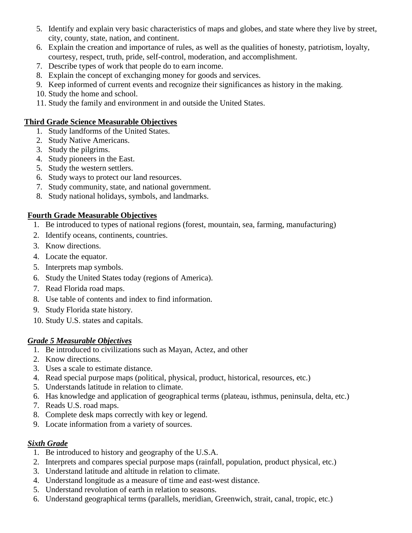- 5. Identify and explain very basic characteristics of maps and globes, and state where they live by street, city, county, state, nation, and continent.
- 6. Explain the creation and importance of rules, as well as the qualities of honesty, patriotism, loyalty, courtesy, respect, truth, pride, self-control, moderation, and accomplishment.
- 7. Describe types of work that people do to earn income.
- 8. Explain the concept of exchanging money for goods and services.
- 9. Keep informed of current events and recognize their significances as history in the making.
- 10. Study the home and school.
- 11. Study the family and environment in and outside the United States.

#### **Third Grade Science Measurable Objectives**

- 1. Study landforms of the United States.
- 2. Study Native Americans.
- 3. Study the pilgrims.
- 4. Study pioneers in the East.
- 5. Study the western settlers.
- 6. Study ways to protect our land resources.
- 7. Study community, state, and national government.
- 8. Study national holidays, symbols, and landmarks.

#### **Fourth Grade Measurable Objectives**

- 1. Be introduced to types of national regions (forest, mountain, sea, farming, manufacturing)
- 2. Identify oceans, continents, countries.
- 3. Know directions.
- 4. Locate the equator.
- 5. Interprets map symbols.
- 6. Study the United States today (regions of America).
- 7. Read Florida road maps.
- 8. Use table of contents and index to find information.
- 9. Study Florida state history.
- 10. Study U.S. states and capitals.

#### *Grade 5 Measurable Objectives*

- 1. Be introduced to civilizations such as Mayan, Actez, and other
- 2. Know directions.
- 3. Uses a scale to estimate distance.
- 4. Read special purpose maps (political, physical, product, historical, resources, etc.)
- 5. Understands latitude in relation to climate.
- 6. Has knowledge and application of geographical terms (plateau, isthmus, peninsula, delta, etc.)
- 7. Reads U.S. road maps.
- 8. Complete desk maps correctly with key or legend.
- 9. Locate information from a variety of sources.

#### *Sixth Grade*

- 1. Be introduced to history and geography of the U.S.A.
- 2. Interprets and compares special purpose maps (rainfall, population, product physical, etc.)
- 3. Understand latitude and altitude in relation to climate.
- 4. Understand longitude as a measure of time and east-west distance.
- 5. Understand revolution of earth in relation to seasons.
- 6. Understand geographical terms (parallels, meridian, Greenwich, strait, canal, tropic, etc.)